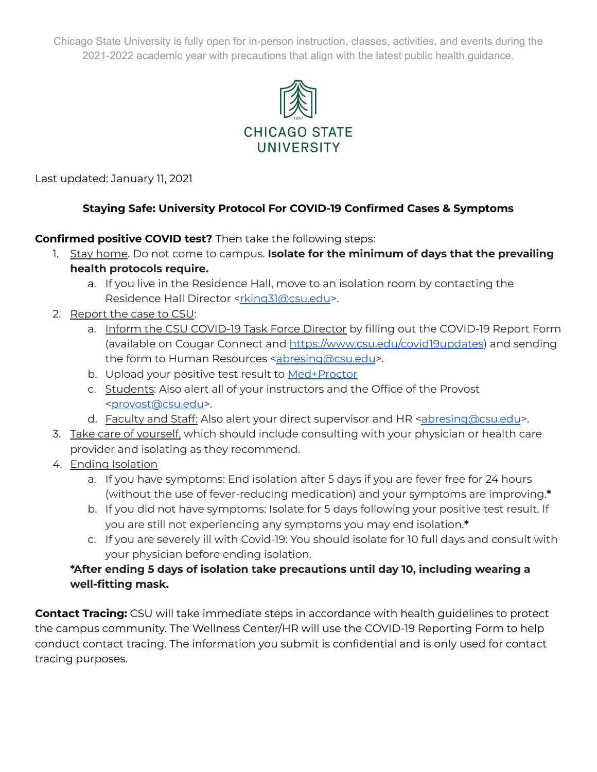Chicago State University is fully open for in-person instruction, classes, activities, and events during the 2021-2022 academic year with precautions that align with the latest public health guidance.



Last updated: January 11, 2021

## **Staying Safe: University Protocol For COVID-19 Confirmed Cases & Symptoms**

**Confirmed positive COVID test?** Then take the following steps:

- 1. Stay home. Do not come to campus. **Isolate for the minimum of days that the prevailing health protocols require.**
	- a. If you live in the Residence Hall, move to an isolation room by contacting the Residence Hall Director [<rking31@csu.edu](mailto:rking31@csu.edu)>.
- 2. Report the case to CSU:
	- a. Inform the CSU COVID-19 Task Force Director by filling out the COVID-19 Report Form (available on Cougar Connect and <https://www.csu.edu/covid19updates>) and sending the form to Human Resources [<abresing@csu.edu](mailto:abresing@csu.edu)>.
	- b. Upload your positive test result to [Med+Proctor](https://www.medproctor.com/)
	- c. Students: Also alert all of your instructors and the Office of the Provost [<provost@csu.edu](mailto:provost@csu.edu)>.
	- d. Faculty and Staff: Also alert your direct supervisor and HR [<abresing@csu.edu](mailto:abresing@csu.edu)>.
- 3. Take care of yourself, which should include consulting with your physician or health care provider and isolating as they recommend.
- 4. Ending Isolation
	- a. If you have symptoms: End isolation after 5 days if you are fever free for 24 hours (without the use of fever-reducing medication) and your symptoms are improving.**\***
	- b. If you did not have symptoms: Isolate for 5 days following your positive test result. If you are still not experiencing any symptoms you may end isolation.**\***
	- c. If you are severely ill with Covid-19: You should isolate for 10 full days and consult with your physician before ending isolation.

## **\*After ending 5 days of isolation take precautions until day 10, including wearing a well-fitting mask.**

**Contact Tracing:** CSU will take immediate steps in accordance with health guidelines to protect the campus community. The Wellness Center/HR will use the COVID-19 Reporting Form to help conduct contact tracing. The information you submit is confidential and is only used for contact tracing purposes.